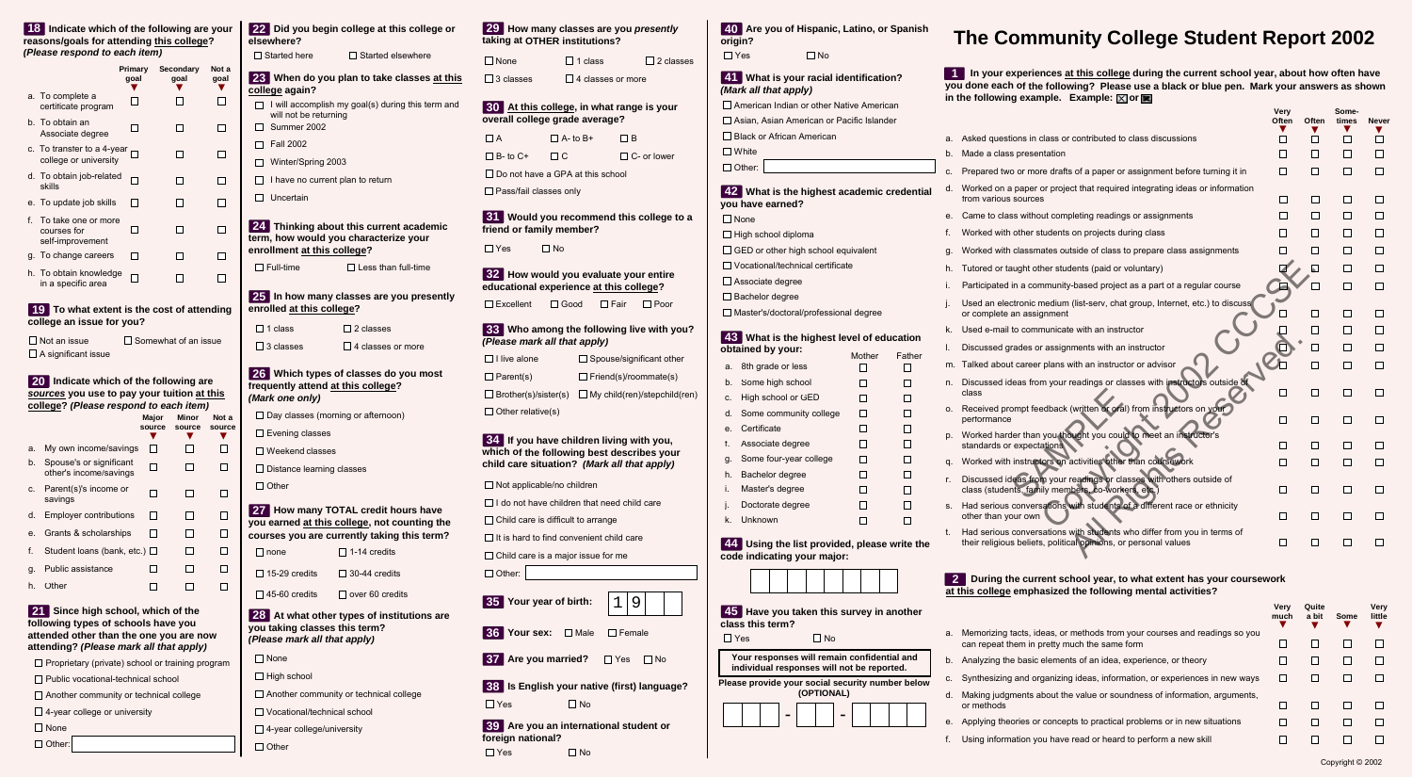# **The Community College Student Report 2002**

### **In your experiences at this college during the current school year, about how often have 1 you done each of the following? Please use a black or blue pen. Mark your answers as shown** in the following example. Example:  $\boxtimes$  or  $\blacksquare$

**Very**

**Some-**

|    |                                                                                                                                            | Often  | Often                    | times   | <b>Never</b> |
|----|--------------------------------------------------------------------------------------------------------------------------------------------|--------|--------------------------|---------|--------------|
| a. | Asked questions in class or contributed to class discussions                                                                               | П      | П                        | П       | П            |
| b. | Made a class presentation                                                                                                                  | П      |                          | $\perp$ | П            |
| C. | Prepared two or more drafts of a paper or assignment before turning it in                                                                  | □      | $\Box$                   | П       | □            |
| d. | Worked on a paper or project that required integrating ideas or information<br>from various sources                                        | $\Box$ | П                        | □       | $\Box$       |
| е. | Came to class without completing readings or assignments                                                                                   | П      | $\blacksquare$           |         | $\Box$       |
| f. | Worked with other students on projects during class                                                                                        |        | ┓                        |         | П            |
| g. | Worked with classmates outside of class to prepare class assignments                                                                       |        |                          |         | П            |
| h. | Tutored or taught other students (paid or voluntary)                                                                                       |        | $\blacktriangle$         |         | □            |
| i. | Participated in a community-based project as a part of a regular course                                                                    |        |                          | П       | П            |
| j. | Used an electronic medium (list-serv, chat group, Internet, etc.) to discuss<br>or complete an assignment                                  |        |                          | ΙI      | $\mathsf{L}$ |
| k. | Used e-mail to communicate with an instructor                                                                                              |        | $\blacksquare$           | П       | $\mathsf{L}$ |
| I. | Discussed grades or assignments with an instructor                                                                                         |        |                          |         | ΙI           |
| m. | Talked about career plans with an instructor or advisor                                                                                    |        | $\overline{\phantom{a}}$ | ΙI      | $\mathbf{L}$ |
| n. | Discussed ideas from your readings or classes with instructors outside of<br>class                                                         | П      | $\Box$                   | □       | U            |
| О. | Received prompt feedback (written or oral) from instructors on your<br>performance                                                         | П      | $\Box$                   | П       | $\mathsf{L}$ |
| p. | Worked harder than you thought you could to meet an instructor's<br>standards or expectations                                              | $\Box$ | $\Box$                   | ΙI      | $\mathsf{L}$ |
| q. | Worked with instructors on activities other than coursework                                                                                | П      | П                        | П       | П            |
| r. | Discussed ideas from your readings or classes with others outside of<br>class (students, family members, co-workers, etc.)                 | ΙI     | $\mathsf{I}$             | ΙI      |              |
| S. | Had serious conversations with students of a different race or ethnicity<br>other than your own                                            | $\Box$ | $\Box$                   | П       |              |
| t. | Had serious conversations with students who differ from you in terms of<br>their religious beliefs, political opinions, or personal values |        |                          |         |              |
|    |                                                                                                                                            |        |                          |         |              |

#### **During the current school year, to what extent has your coursework 2 at this college emphasized the following mental activities?**

|    |                                                                                                                           | <b>Verv</b><br>much | Quite<br>a bit | Some | <b>Very</b><br>little |
|----|---------------------------------------------------------------------------------------------------------------------------|---------------------|----------------|------|-----------------------|
| a. | Memorizing facts, ideas, or methods from your courses and readings so you<br>can repeat them in pretty much the same form |                     |                |      |                       |
|    | b. Analyzing the basic elements of an idea, experience, or theory                                                         |                     |                |      |                       |
| C. | Synthesizing and organizing ideas, information, or experiences in new ways                                                |                     |                |      |                       |
| d. | Making judgments about the value or soundness of information, arguments,<br>or methods                                    |                     |                |      |                       |
|    | e. Applying theories or concepts to practical problems or in new situations                                               |                     |                |      |                       |
| f. | Using information you have read or heard to perform a new skill                                                           |                     |                |      |                       |

Copyright © 2002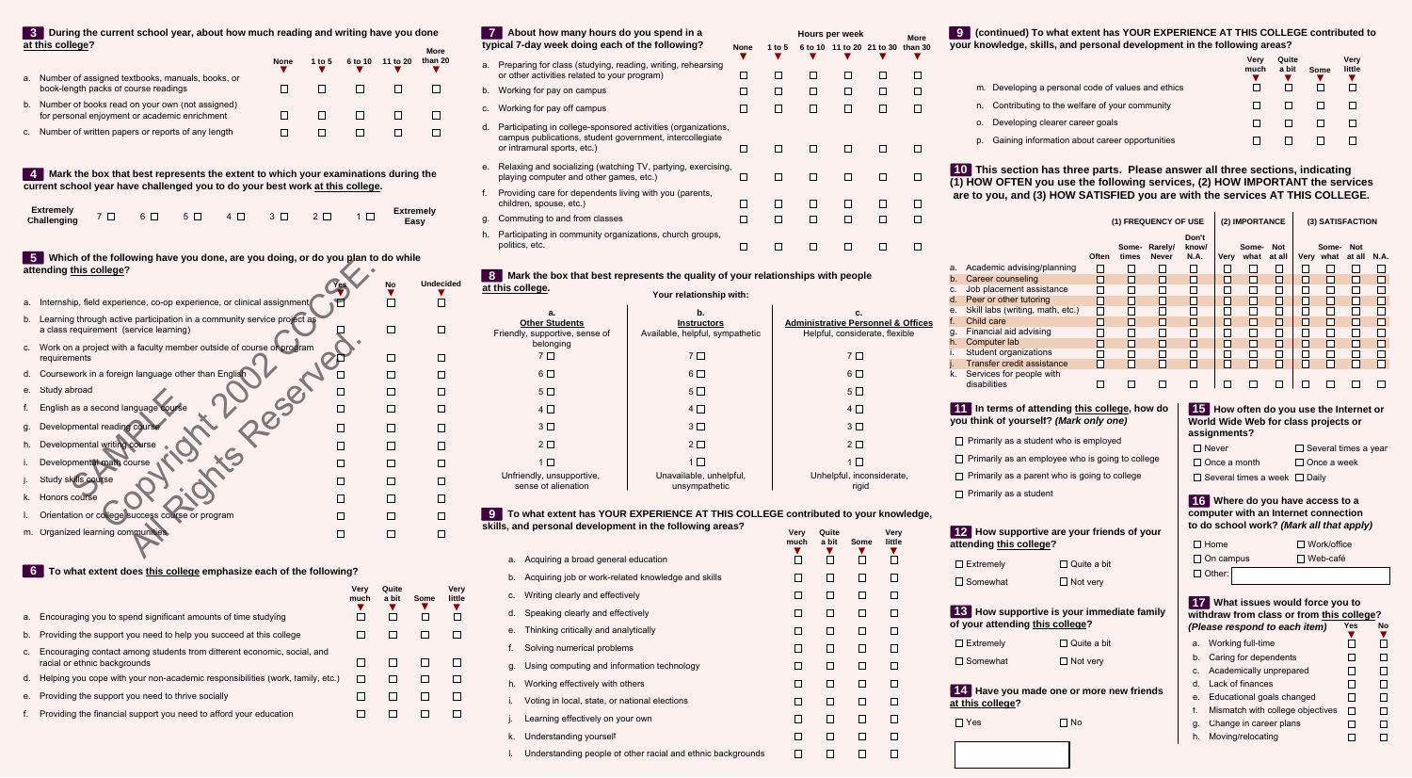#### **More During the current school year, about how much reading and writing have you done 3 at this college?**

|                                                                                                     | <b>None</b> | 1 to 5 | 6 to 10 | 11 to 20 | www<br>than 20 |
|-----------------------------------------------------------------------------------------------------|-------------|--------|---------|----------|----------------|
| a. Number of assigned textbooks, manuals, books, or<br>book-length packs of course readings         |             |        |         |          |                |
| b. Number of books read on your own (not assigned)<br>for personal enjoyment or academic enrichment |             |        |         |          |                |
| c. Number of written papers or reports of any length                                                |             |        |         |          |                |
|                                                                                                     |             |        |         |          |                |

 **Mark the box that best represents the extent to which your examinations during the 4 current school year have challenged you to do your best work at this college.**

| Extremely $7 \Box 6 \Box 5 \Box 4 \Box 3 \Box 2 \Box 1 \Box$<br>Challenging $7 \Box 6 \Box 5 \Box 4 \Box 3 \Box 2 \Box 1 \Box$ |  |  |  |  |  |  |  |  |
|--------------------------------------------------------------------------------------------------------------------------------|--|--|--|--|--|--|--|--|
|--------------------------------------------------------------------------------------------------------------------------------|--|--|--|--|--|--|--|--|

## **Which of the following have you done, are you doing, or do you plan to do while 5 attending this college?**

|         | <u>THING OF GIV TOROWING HAVE YOU GOING AND YOU GOING. OF GO YOU MAN TO GO WING</u><br>attending this college?    |            |           |                  |
|---------|-------------------------------------------------------------------------------------------------------------------|------------|-----------|------------------|
|         |                                                                                                                   | <b>Yes</b> | <b>No</b> | <b>Undecided</b> |
| a.      | Internship, field experience, co-op experience, or clinical assignment                                            |            |           |                  |
| b.      | Learning through active participation in a community service project as<br>a class requirement (service learning) |            |           |                  |
| $C_{1}$ | Work on a project with a faculty member outside of course or program<br>requirements                              |            |           |                  |
| d.      | Coursework in a foreign language other than English                                                               |            |           |                  |
| е.      | Study abroad                                                                                                      |            |           |                  |
| f.      | English as a second language course                                                                               |            |           |                  |
| g.      | Developmental reading course                                                                                      |            |           |                  |
| h.      | Developmental writing course                                                                                      |            |           |                  |
| i.      | Developmental math course                                                                                         |            |           |                  |
| j.      | Study skills course                                                                                               |            |           |                  |
| k.      | Honors course                                                                                                     |            |           |                  |
| I.      | Orientation or college success course or program                                                                  |            |           |                  |
| m.      | Organized learning communities.                                                                                   |            |           |                  |

#### **6 To what extent does this college emphasize each of the following?**

|    |                                                                                                         | Verv<br>much | Quite<br>a bit | Some | Verv<br>little |
|----|---------------------------------------------------------------------------------------------------------|--------------|----------------|------|----------------|
|    | a. Encouraging you to spend significant amounts of time studying                                        |              |                |      |                |
|    | b. Providing the support you need to help you succeed at this college                                   |              |                |      |                |
| C. | Encouraging contact among students from different economic, social, and<br>racial or ethnic backgrounds |              |                |      |                |
|    | d. Helping you cope with your non-academic responsibilities (work, family, etc.)                        |              |                |      |                |
|    | e. Providing the support you need to thrive socially                                                    |              |                |      |                |
|    | Providing the financial support you need to afford your education                                       |              |                |      |                |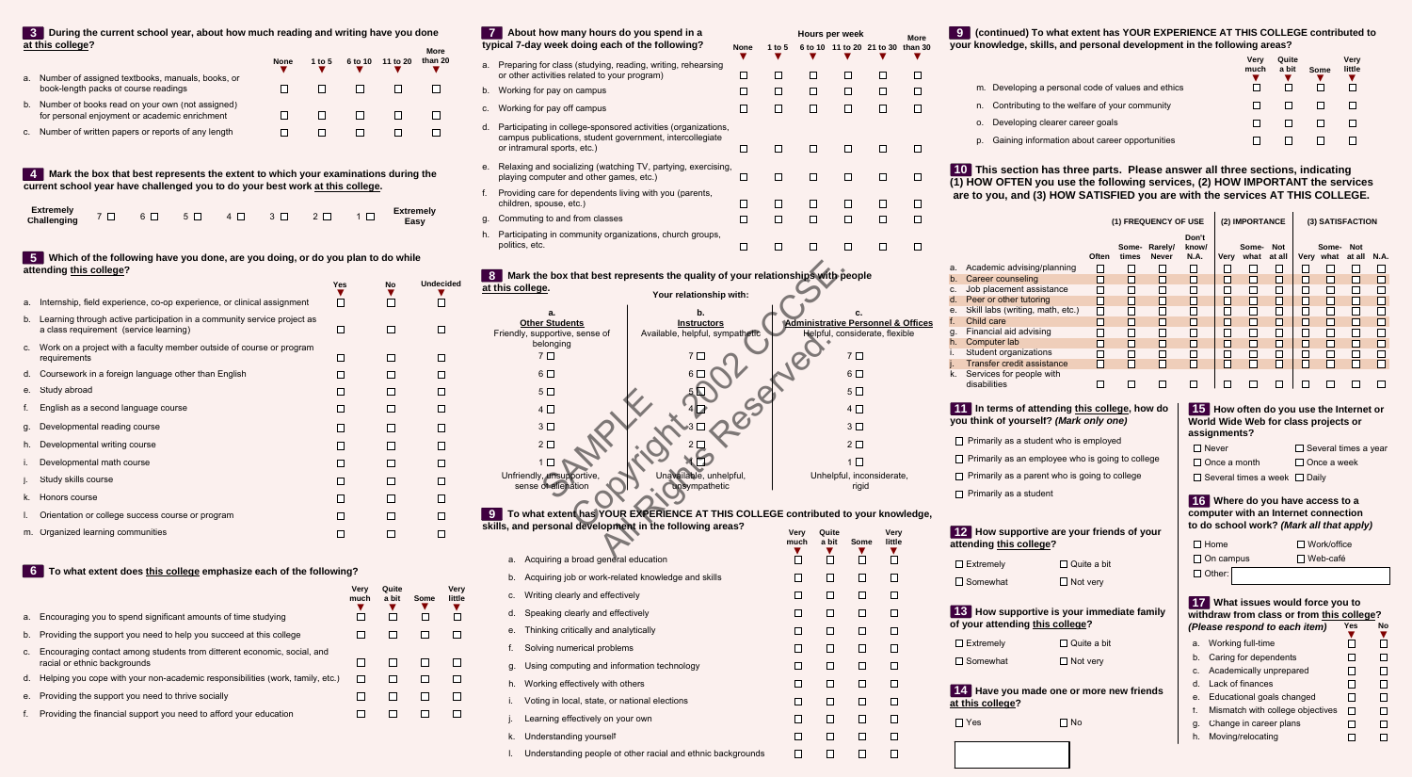| $\mathbf{7}$ | About how many hours do you spend in a<br>typical 7-day week doing each of the following?                                                                | <b>None</b> | 1 to $5$ |              | Hours per week<br>6 to 10 11 to 20 21 to 30 than 30                                   |                | <b>More</b> |
|--------------|----------------------------------------------------------------------------------------------------------------------------------------------------------|-------------|----------|--------------|---------------------------------------------------------------------------------------|----------------|-------------|
| a.           | Preparing for class (studying, reading, writing, rehearsing<br>or other activities related to your program)                                              | $\Box$      | ப        | □            | $\Box$                                                                                | $\Box$         | ΙI          |
| b.           | Working for pay on campus                                                                                                                                | П           | П        | П            | П                                                                                     | П              | П           |
| c.           | Working for pay off campus                                                                                                                               | П           | □        | $\Box$       | □                                                                                     | □              | П           |
| d.           | Participating in college-sponsored activities (organizations,<br>campus publications, student government, intercollegiate<br>or intramural sports, etc.) | □           | $\Box$   | $\Box$       | $\Box$                                                                                | □              | ΙI          |
| е.           | Relaxing and socializing (watching TV, partying, exercising,<br>playing computer and other games, etc.)                                                  | □           | $\Box$   | □            | □                                                                                     | ப              | ΙI          |
| f.           | Providing care for dependents living with you (parents,<br>children, spouse, etc.)                                                                       | □           | □        | $\Box$       | ப                                                                                     | ப              | $\Box$      |
| g.           | Commuting to and from classes                                                                                                                            | □           | □        | $\Box$       | □                                                                                     | □              | П           |
| h.           | Participating in community organizations, church groups,<br>politics, etc.                                                                               | □           | $\Box$   | Π            | $\mathsf{L}$                                                                          | $\Box$         |             |
|              | Your relationship with:<br>b.<br>a.<br><b>Other Students</b><br><b>Instructors</b><br>Friendly, supportive, sense of<br>Available, helpful, sympathetic  |             |          |              | c.<br><b>Administrative Personnel &amp; Offices</b><br>Helpful, considerate, flexible |                |             |
|              | belonging                                                                                                                                                |             |          |              |                                                                                       |                |             |
|              | 7 <sub>1</sub><br>7 <sup>1</sup>                                                                                                                         |             |          |              | 7 <sub>1</sub>                                                                        |                |             |
|              | $6\Box$<br>6.                                                                                                                                            |             |          |              | $6\Box$                                                                               |                |             |
|              | 5 <sub>1</sub>                                                                                                                                           |             |          |              | $5\Box$                                                                               |                |             |
|              | $4\square$                                                                                                                                               |             |          |              | $4\Box$                                                                               |                |             |
|              | 3 <sup>1</sup>                                                                                                                                           |             |          |              | 3 <sup>1</sup>                                                                        |                |             |
|              | $2\square$                                                                                                                                               |             |          |              | $2\square$                                                                            |                |             |
|              | $1 \Box$                                                                                                                                                 |             |          |              | $1\Box$                                                                               |                |             |
|              | Unavailable, unhelpful,<br>Unfriendly, unsupportive,<br>sense of alienation<br>unsympathetic                                                             |             |          |              | Unhelpful, inconsiderate,<br>rigid                                                    |                |             |
|              | To what extent has YOUR EXPERIENCE AT THIS COLLEGE contributed to your knowledge,                                                                        |             |          |              |                                                                                       |                |             |
|              | skills, and personal development in the following areas?                                                                                                 |             |          | Very<br>much | Quite<br>a bit<br>Some                                                                | Very<br>little |             |
|              |                                                                                                                                                          |             |          |              | M<br>ш                                                                                | $\mathbf{X}$   |             |

| a. Acquiring a broad general education                      | $\Box$ |        |        |        |
|-------------------------------------------------------------|--------|--------|--------|--------|
| b. Acquiring job or work-related knowledge and skills       | □      |        | $\Box$ | $\Box$ |
| c. Writing clearly and effectively                          |        |        | □      |        |
| d. Speaking clearly and effectively                         |        |        |        |        |
| Thinking critically and analytically<br>е.                  | ப      |        |        |        |
| Solving numerical problems<br>f.                            | ப      |        | □      | $\Box$ |
| Using computing and information technology<br>g.            | ப      |        |        | $\Box$ |
| h. Working effectively with others                          | □      |        | ◘      | $\Box$ |
| Voting in local, state, or national elections               |        | $\Box$ | □      | $\Box$ |
| Learning effectively on your own                            |        | $\Box$ |        | $\Box$ |
| Understanding yourself<br>k.                                |        |        | $\Box$ | E      |
| Understanding people of other racial and ethnic backgrounds | □      |        |        |        |
|                                                             |        |        |        |        |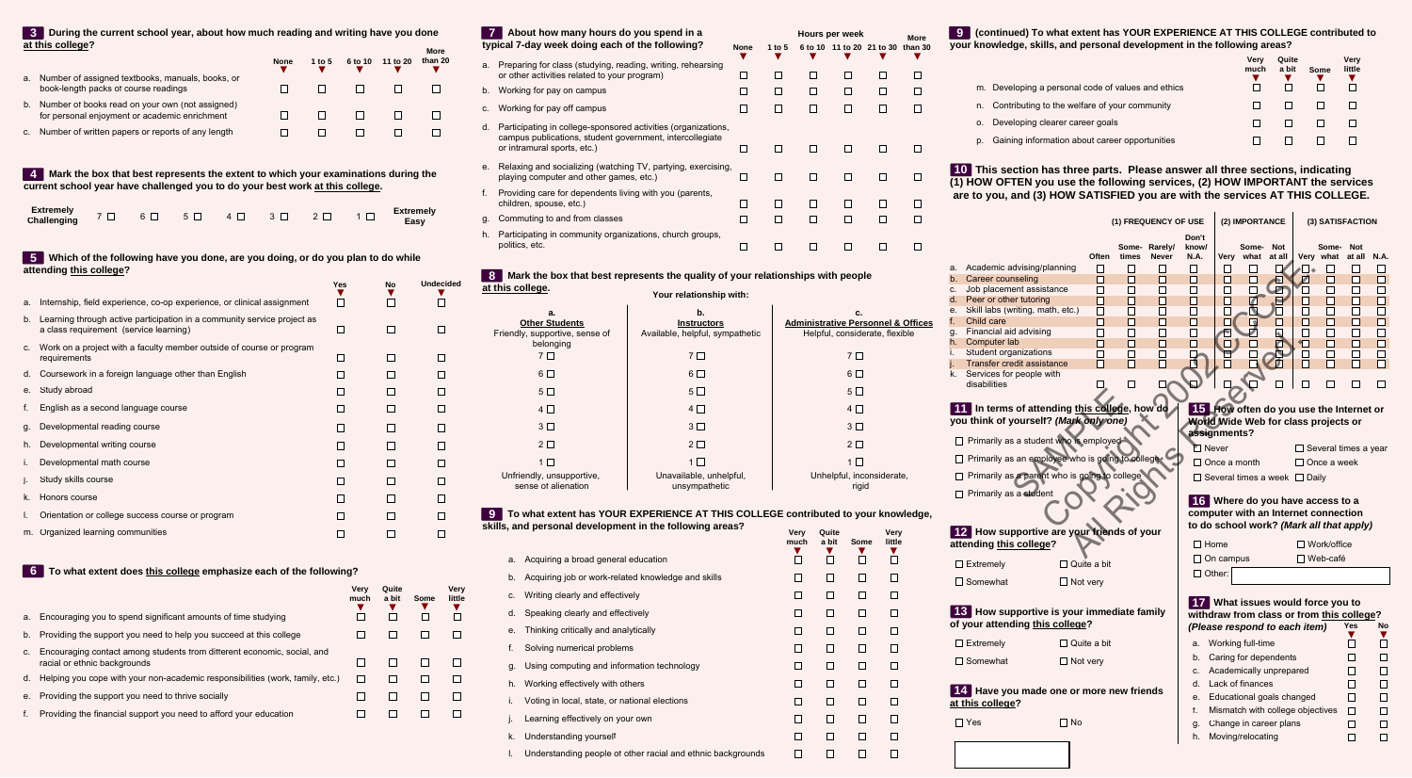# **(continued) To what extent has YOUR EXPERIENCE AT THIS COLLEGE contributed to 9 your knowledge, skills, and personal development in the following areas?**

|    |                                                    | Verv<br>much | Quite<br>a bit | Some | Very<br>little |
|----|----------------------------------------------------|--------------|----------------|------|----------------|
|    | m. Developing a personal code of values and ethics |              |                |      |                |
| n. | Contributing to the welfare of your community      |              |                |      |                |
| 0. | Developing clearer career goals                    |              |                |      |                |
| D. | Gaining information about career opportunities     |              |                |      |                |

# **This section has three parts. Please answer all three sections, indicating 10 (1) HOW OFTEN you use the following services, (2) HOW IMPORTANT the services are to you, and (3) HOW SATISFIED you are with the services AT THIS COLLEGE.**

|                                                                                                                                                                                                                                                                                                                                                                                 |                                                                   |                                                                   | (1) FREQUENCY OF USE                                              |                                                                         |                                                                                  | (2) IMPORTANCE        |                                |                                                                                                       | (3) SATISFACTION                                                           |                                                                                                 |                                                                                                            |
|---------------------------------------------------------------------------------------------------------------------------------------------------------------------------------------------------------------------------------------------------------------------------------------------------------------------------------------------------------------------------------|-------------------------------------------------------------------|-------------------------------------------------------------------|-------------------------------------------------------------------|-------------------------------------------------------------------------|----------------------------------------------------------------------------------|-----------------------|--------------------------------|-------------------------------------------------------------------------------------------------------|----------------------------------------------------------------------------|-------------------------------------------------------------------------------------------------|------------------------------------------------------------------------------------------------------------|
| Academic advising/planning<br>а.<br>Career counseling<br>$b_{\cdot}$<br>Job placement assistance<br>C.<br>Peer or other tutoring<br>d.<br>Skill labs (writing, math, etc.)<br>е.<br>Child care<br>f.<br>Financial aid advising<br>g.<br>Computer lab<br>h.<br>Student organizations<br>i.<br>j.<br>Transfer credit assistance<br>Services for people with<br>k.<br>disabilities | Often<br>П<br>П<br>П<br>П<br>П<br>П<br>$\Box$<br>П<br>$\Box$<br>П | times<br>$\Box$<br>П<br>П<br>П<br>П<br>П<br>П<br>П<br>$\Box$<br>П | Some-Rarely/<br><b>Never</b><br>ΙI<br>H<br>ΙI<br>П<br>H<br>П<br>П | Don't<br>know/<br><b>N.A.</b><br>П<br>П<br>П<br>П<br>П<br>п<br>ΙI<br>ΙI | Very what<br>Ш<br>П<br>□<br>$\Box$<br>П                                          | Some-<br>$\mathsf{L}$ | <b>Not</b><br>at all<br>Л<br>N | $\blacksquare$<br>$\bullet$<br>И<br>$\mathsf{L}$<br>П<br>П<br>П<br>П<br>$\blacksquare$<br>ப<br>П<br>П | Some-<br>Very what<br>$\perp$<br>$\Box$<br>П<br>П<br>П<br>П<br>П<br>□<br>П | <b>Not</b><br>at all<br>$\Box$<br>П<br>$\Box$<br>$\Box$<br>$\Box$<br>$\Box$<br>П<br>П<br>$\Box$ | <b>N.A.</b><br>Ш<br>□<br>$\Box$<br>$\Box$<br>$\Box$<br>$\Box$<br>$\Box$<br>$\Box$<br>$\Box$<br>$\Box$<br>П |
|                                                                                                                                                                                                                                                                                                                                                                                 | In terms of attending this college, how do                        |                                                                   |                                                                   |                                                                         | 15 How often do you use the Internet or                                          |                       |                                |                                                                                                       |                                                                            |                                                                                                 |                                                                                                            |
| you think of yourself? (Mark only one)                                                                                                                                                                                                                                                                                                                                          |                                                                   |                                                                   |                                                                   |                                                                         | World Wide Web for class projects or                                             |                       |                                |                                                                                                       |                                                                            |                                                                                                 |                                                                                                            |
|                                                                                                                                                                                                                                                                                                                                                                                 | Primarily as a student who is employed                            |                                                                   |                                                                   | Never                                                                   | assignments?                                                                     |                       |                                |                                                                                                       | $\Box$ Several times a year                                                |                                                                                                 |                                                                                                            |
|                                                                                                                                                                                                                                                                                                                                                                                 | Primarily as an employee who is going to college                  |                                                                   |                                                                   |                                                                         | $\Box$ Once a month                                                              |                       |                                |                                                                                                       | $\Box$ Once a week                                                         |                                                                                                 |                                                                                                            |
|                                                                                                                                                                                                                                                                                                                                                                                 | Primarily as a parent who is going to college                     |                                                                   |                                                                   |                                                                         | $\Box$ Several times a week $\Box$ Daily                                         |                       |                                |                                                                                                       |                                                                            |                                                                                                 |                                                                                                            |
| Primarily as a student                                                                                                                                                                                                                                                                                                                                                          |                                                                   |                                                                   |                                                                   |                                                                         |                                                                                  |                       |                                |                                                                                                       |                                                                            |                                                                                                 |                                                                                                            |
|                                                                                                                                                                                                                                                                                                                                                                                 |                                                                   |                                                                   |                                                                   |                                                                         | 16 Where do you have access to a                                                 |                       |                                |                                                                                                       |                                                                            |                                                                                                 |                                                                                                            |
|                                                                                                                                                                                                                                                                                                                                                                                 |                                                                   |                                                                   |                                                                   |                                                                         | computer with an Internet connection<br>to do school work? (Mark all that apply) |                       |                                |                                                                                                       |                                                                            |                                                                                                 |                                                                                                            |
| 12 How supportive are your friends of your                                                                                                                                                                                                                                                                                                                                      |                                                                   |                                                                   |                                                                   |                                                                         |                                                                                  |                       |                                |                                                                                                       |                                                                            |                                                                                                 |                                                                                                            |
| attending this college?                                                                                                                                                                                                                                                                                                                                                         |                                                                   |                                                                   |                                                                   | $\square$ Home                                                          |                                                                                  |                       |                                |                                                                                                       | $\Box$ Work/office                                                         |                                                                                                 |                                                                                                            |
| $\Box$ Extremely                                                                                                                                                                                                                                                                                                                                                                | $\Box$ Quite a bit                                                |                                                                   |                                                                   |                                                                         | $\Box$ On campus                                                                 |                       |                                |                                                                                                       | $\Box$ Web-café                                                            |                                                                                                 |                                                                                                            |
| $\Box$ Somewhat                                                                                                                                                                                                                                                                                                                                                                 | $\Box$ Not very                                                   |                                                                   |                                                                   | $\Box$ Other:                                                           |                                                                                  |                       |                                |                                                                                                       |                                                                            |                                                                                                 |                                                                                                            |
|                                                                                                                                                                                                                                                                                                                                                                                 |                                                                   |                                                                   |                                                                   |                                                                         |                                                                                  |                       |                                |                                                                                                       |                                                                            |                                                                                                 |                                                                                                            |
| 13 How supportive is your immediate family                                                                                                                                                                                                                                                                                                                                      |                                                                   |                                                                   |                                                                   |                                                                         | 17 What issues would force you to<br>withdraw from class or from this college?   |                       |                                |                                                                                                       |                                                                            |                                                                                                 |                                                                                                            |
| of your attending this college?                                                                                                                                                                                                                                                                                                                                                 |                                                                   |                                                                   |                                                                   |                                                                         | (Please respond to each item)                                                    |                       |                                |                                                                                                       |                                                                            | Yes                                                                                             | No                                                                                                         |
| $\Box$ Extremely                                                                                                                                                                                                                                                                                                                                                                |                                                                   |                                                                   |                                                                   |                                                                         |                                                                                  |                       |                                |                                                                                                       |                                                                            |                                                                                                 | П                                                                                                          |
|                                                                                                                                                                                                                                                                                                                                                                                 | $\Box$ Quite a bit                                                |                                                                   |                                                                   |                                                                         | a. Working full-time                                                             |                       |                                |                                                                                                       |                                                                            |                                                                                                 |                                                                                                            |
|                                                                                                                                                                                                                                                                                                                                                                                 |                                                                   |                                                                   |                                                                   | b.                                                                      | Caring for dependents                                                            |                       |                                |                                                                                                       |                                                                            | ⊔                                                                                               | $\Box$                                                                                                     |
| $\Box$ Somewhat                                                                                                                                                                                                                                                                                                                                                                 | $\Box$ Not very                                                   |                                                                   |                                                                   | C.                                                                      | Academically unprepared                                                          |                       |                                |                                                                                                       |                                                                            |                                                                                                 | $\Box$                                                                                                     |
|                                                                                                                                                                                                                                                                                                                                                                                 |                                                                   |                                                                   |                                                                   | d.                                                                      | Lack of finances                                                                 |                       |                                |                                                                                                       |                                                                            | $\Box$                                                                                          | □                                                                                                          |
| 14 Have you made one or more new friends<br>at this college?                                                                                                                                                                                                                                                                                                                    |                                                                   |                                                                   |                                                                   | е.                                                                      | Educational goals changed                                                        |                       |                                |                                                                                                       |                                                                            | ⊔                                                                                               | $\Box$                                                                                                     |
|                                                                                                                                                                                                                                                                                                                                                                                 |                                                                   |                                                                   |                                                                   | f.                                                                      | Mismatch with college objectives                                                 |                       |                                |                                                                                                       |                                                                            | $\Box$                                                                                          | $\Box$                                                                                                     |
| $\Box$ Yes                                                                                                                                                                                                                                                                                                                                                                      | $\Box$ No                                                         |                                                                   |                                                                   | g.<br>h.                                                                | Change in career plans<br>Moving/relocating                                      |                       |                                |                                                                                                       |                                                                            | □<br>□                                                                                          | $\Box$<br>$\Box$                                                                                           |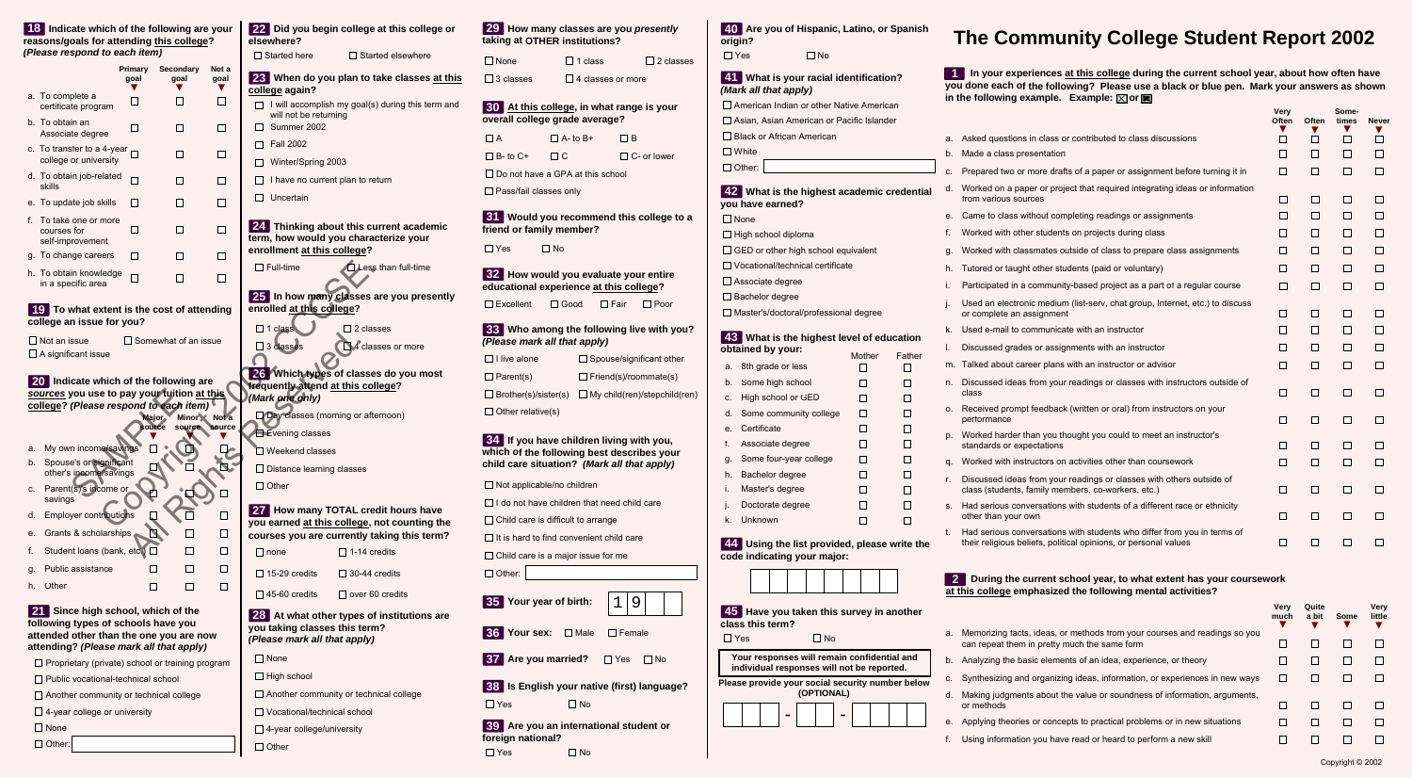|    | 18 Indicate which of the following are your<br>reasons/goals for attending this college?                             |                 |                             |                                               | 22 Did you begin college at this college or<br>elsewhere?                                                   |  |  |
|----|----------------------------------------------------------------------------------------------------------------------|-----------------|-----------------------------|-----------------------------------------------|-------------------------------------------------------------------------------------------------------------|--|--|
|    | (Please respond to each item)                                                                                        |                 |                             |                                               | $\Box$ Started here<br>$\Box$ Started elsewhere                                                             |  |  |
|    |                                                                                                                      | Primary<br>goal | Secondary<br>goal           | Not a<br>goal<br>v.                           | 23 When do you plan to take classes at this<br>college again?                                               |  |  |
|    | a. To complete a<br>certificate program                                                                              | $\Box$          | $\mathsf{L}$                | □                                             | I will accomplish my goal(s) during this term and<br>$\perp$<br>will not be returning                       |  |  |
|    | b. To obtain an<br>Associate degree                                                                                  | $\blacksquare$  | U                           | ப                                             | Summer 2002                                                                                                 |  |  |
|    | c. To transfer to a 4-year<br>college or university                                                                  |                 | U                           | ப                                             | <b>Fall 2002</b><br>П<br>Winter/Spring 2003                                                                 |  |  |
|    | d. To obtain job-related<br>skills                                                                                   | П               | $\Box$                      | U                                             | I have no current plan to return                                                                            |  |  |
|    | e. To update job skills                                                                                              | $\blacksquare$  | П                           | П                                             | Uncertain<br>$\mathsf{L}$                                                                                   |  |  |
|    | f. To take one or more<br>courses for<br>self-improvement                                                            | П               | П                           | П                                             | 24 Thinking about this current academic<br>term, how would you characterize your                            |  |  |
|    | g. To change careers                                                                                                 | $\blacksquare$  | $\Box$                      | П                                             | enrollment at this college?                                                                                 |  |  |
|    | h. To obtain knowledge<br>in a specific area                                                                         | П               | П                           | □                                             | $\Box$ Full-time<br>Less than full-time                                                                     |  |  |
|    | 19 To what extent is the cost of attending                                                                           |                 |                             |                                               | 25 In how many classes are you presently<br>enrolled at this college?                                       |  |  |
|    | college an issue for you?                                                                                            |                 |                             |                                               | $\Box$ 1 class<br>$\Box$ 2 classes                                                                          |  |  |
|    | $\Box$ Not an issue                                                                                                  |                 | $\Box$ Somewhat of an issue |                                               | $\square$ 3 classes<br>4 classes or more                                                                    |  |  |
|    | $\Box$ A significant issue                                                                                           |                 |                             |                                               |                                                                                                             |  |  |
|    | 20 Indicate which of the following are                                                                               |                 |                             |                                               | 26 Which types of classes do you most<br>frequently attend at this college?                                 |  |  |
|    | sources you use to pay your fuition at this<br>college? (Please respond to each item)                                |                 |                             |                                               | (Mark one only)                                                                                             |  |  |
|    |                                                                                                                      |                 | <b>Major</b>                | Minor Not a                                   | Day classes (morning or afternoon)                                                                          |  |  |
|    |                                                                                                                      |                 | sounce                      | source source                                 | Evening classes                                                                                             |  |  |
| а. | My own income/savings                                                                                                |                 |                             |                                               | Weekend classes                                                                                             |  |  |
|    | b. Spouse's or significant<br>other's income/savings                                                                 |                 |                             |                                               | $\Box$ Distance learning classes                                                                            |  |  |
| C. | Parent(s)'s income or<br>savings                                                                                     |                 |                             |                                               | $\Box$ Other                                                                                                |  |  |
| d. | Employer contributions                                                                                               |                 |                             | ⊔                                             | 27 How many TOTAL credit hours have                                                                         |  |  |
| е. | Grants & scholarships                                                                                                |                 |                             | □                                             | you earned at this college, not counting the<br>courses you are currently taking this term?                 |  |  |
| f. | Student loans (bank, etc.)                                                                                           |                 |                             | П                                             | $\Box$ 1-14 credits<br>$\square$ none                                                                       |  |  |
| g. | Public assistance                                                                                                    |                 |                             | $\Box$                                        | $\Box$ 15-29 credits<br>$\Box$ 30-44 credits                                                                |  |  |
| h. | Other                                                                                                                |                 | П                           | □                                             | $\Box$ 45-60 credits<br>$\Box$ over 60 credits                                                              |  |  |
|    | 21 Since high school, which of the<br>following types of schools have you<br>attended other than the one you are now |                 |                             |                                               | 28 At what other types of institutions are<br>you taking classes this term?<br>(Please mark all that apply) |  |  |
|    | attending? (Please mark all that apply)                                                                              |                 |                             |                                               | $\Box$ None                                                                                                 |  |  |
|    | $\Box$ Proprietary (private) school or training program                                                              |                 |                             |                                               | $\Box$ High school                                                                                          |  |  |
|    | $\Box$ Public vocational-technical school<br>$\Box$ Another community or technical college                           |                 |                             | $\Box$ Another community or technical college |                                                                                                             |  |  |
|    | $\Box$ 4-year college or university                                                                                  |                 |                             | $\Box$ Vocational/technical school            |                                                                                                             |  |  |
|    | $\Box$ None                                                                                                          |                 |                             |                                               | $\Box$ 4-year college/university                                                                            |  |  |
|    | $\Box$ Other:                                                                                                        |                 |                             |                                               | $\Box$ Other                                                                                                |  |  |
|    |                                                                                                                      |                 |                             |                                               |                                                                                                             |  |  |